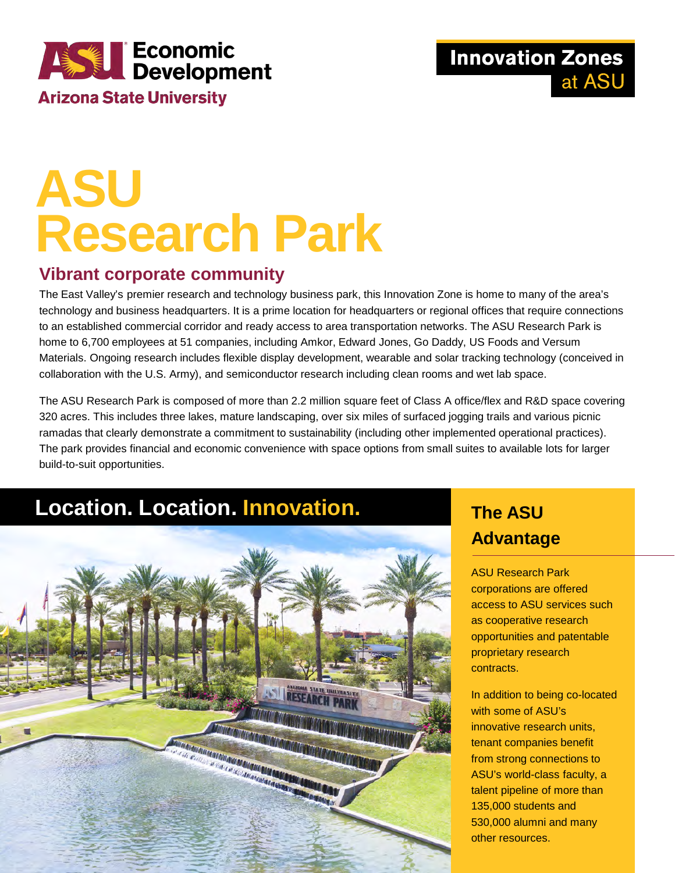

**Innovation Zones** at ASU

# **ASU Research Park**

#### **Vibrant corporate community**

The East Valley's premier research and technology business park, this Innovation Zone is home to many of the area's technology and business headquarters. It is a prime location for headquarters or regional offices that require connections to an established commercial corridor and ready access to area transportation networks. The ASU Research Park is home to 6,700 employees at 51 companies, including Amkor, Edward Jones, Go Daddy, US Foods and Versum Materials. Ongoing research includes flexible display development, wearable and solar tracking technology (conceived in collaboration with the U.S. Army), and semiconductor research including clean rooms and wet lab space.

The ASU Research Park is composed of more than 2.2 million square feet of Class A office/flex and R&D space covering 320 acres. This includes three lakes, mature landscaping, over six miles of surfaced jogging trails and various picnic ramadas that clearly demonstrate a commitment to sustainability (including other implemented operational practices). The park provides financial and economic convenience with space options from small suites to available lots for larger build-to-suit opportunities.

### **Location. Location. Innovation. The ASU**



# **Advantage**

ASU Research Park corporations are offered access to ASU services such as cooperative research opportunities and patentable proprietary research contracts.

In addition to being co-located with some of ASU's innovative research units, tenant companies benefit from strong connections to ASU's world-class faculty, a talent pipeline of more than 135,000 students and 530,000 alumni and many other resources.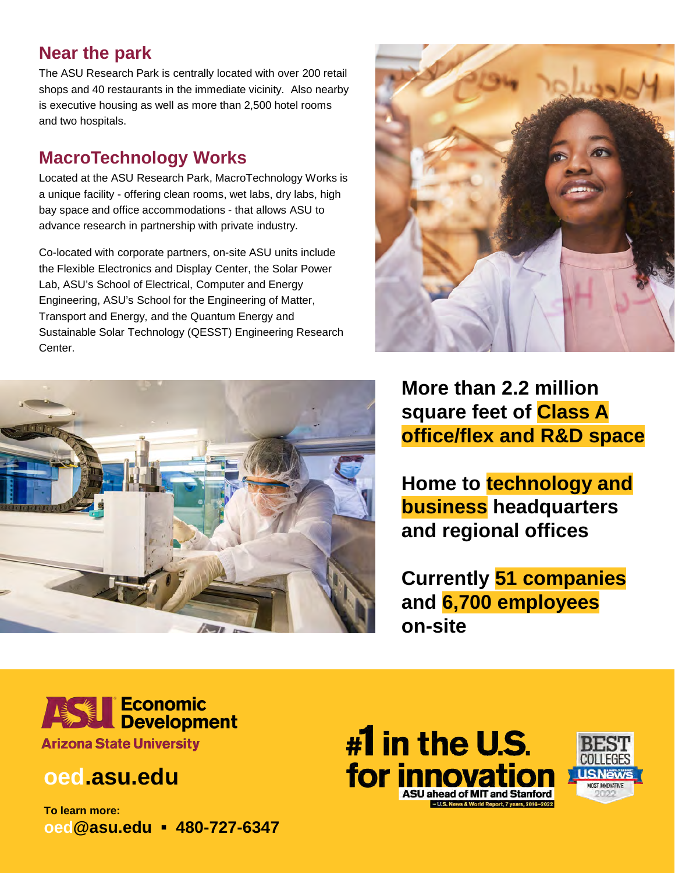#### **Near the park**

The ASU Research Park is centrally located with over 200 retail shops and 40 restaurants in the immediate vicinity. Also nearby is executive housing as well as more than 2,500 hotel rooms and two hospitals.

#### **MacroTechnology Works**

Located at the ASU Research Park, MacroTechnology Works is a unique facility - offering clean rooms, wet labs, dry labs, high bay space and office accommodations - that allows ASU to advance research in partnership with private industry.

Co-located with corporate partners, on-site ASU units include the Flexible Electronics and Display Center, the Solar Power Lab, ASU's School of Electrical, Computer and Energy Engineering, ASU's School for the Engineering of Matter, Transport and Energy, and the Quantum Energy and Sustainable Solar Technology (QESST) Engineering Research Center.





**More than 2.2 million square feet of Class A office/flex and R&D space**

**Home to technology and business headquarters and regional offices**

**Currently 51 companies and 6,700 employees on-site**



### **oed.asu.edu**

**To learn more: oed@asu.edu ▪ 480-727-6347**